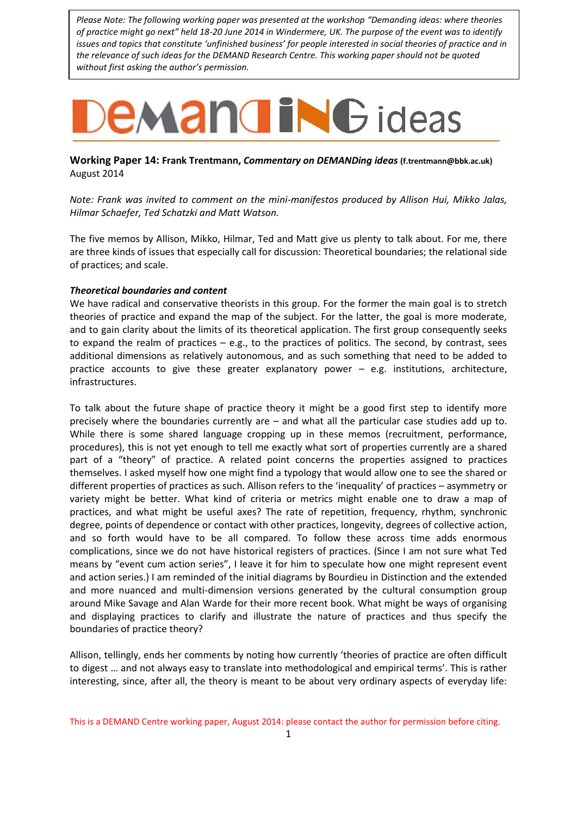*Please Note: The following working paper was presented at the workshop "Demanding ideas: where theories of practice might go next" held 18-20 June 2014 in Windermere, UK. The purpose of the event was to identify issues and topics that constitute 'unfinished business' for people interested in social theories of practice and in the relevance of such ideas for the DEMAND Research Centre. This working paper should not be quoted without first asking the author's permission.*

## **EMANGING** ideas

**Working Paper 14: Frank Trentmann,** *Commentary on DEMANDing ideas* **[\(f.trentmann@bbk.ac.uk\)](mailto:f.trentmann@bbk.ac.uk)** August 2014

*Note: Frank was invited to comment on the mini-manifestos produced by Allison Hui, Mikko Jalas, Hilmar Schaefer, Ted Schatzki and Matt Watson.* 

The five memos by Allison, Mikko, Hilmar, Ted and Matt give us plenty to talk about. For me, there are three kinds of issues that especially call for discussion: Theoretical boundaries; the relational side of practices; and scale.

## *Theoretical boundaries and content*

We have radical and conservative theorists in this group. For the former the main goal is to stretch theories of practice and expand the map of the subject. For the latter, the goal is more moderate, and to gain clarity about the limits of its theoretical application. The first group consequently seeks to expand the realm of practices – e.g., to the practices of politics. The second, by contrast, sees additional dimensions as relatively autonomous, and as such something that need to be added to practice accounts to give these greater explanatory power – e.g. institutions, architecture, infrastructures.

To talk about the future shape of practice theory it might be a good first step to identify more precisely where the boundaries currently are – and what all the particular case studies add up to. While there is some shared language cropping up in these memos (recruitment, performance, procedures), this is not yet enough to tell me exactly what sort of properties currently are a shared part of a "theory" of practice. A related point concerns the properties assigned to practices themselves. I asked myself how one might find a typology that would allow one to see the shared or different properties of practices as such. Allison refers to the 'inequality' of practices – asymmetry or variety might be better. What kind of criteria or metrics might enable one to draw a map of practices, and what might be useful axes? The rate of repetition, frequency, rhythm, synchronic degree, points of dependence or contact with other practices, longevity, degrees of collective action, and so forth would have to be all compared. To follow these across time adds enormous complications, since we do not have historical registers of practices. (Since I am not sure what Ted means by "event cum action series", I leave it for him to speculate how one might represent event and action series.) I am reminded of the initial diagrams by Bourdieu in Distinction and the extended and more nuanced and multi-dimension versions generated by the cultural consumption group around Mike Savage and Alan Warde for their more recent book. What might be ways of organising and displaying practices to clarify and illustrate the nature of practices and thus specify the boundaries of practice theory?

Allison, tellingly, ends her comments by noting how currently 'theories of practice are often difficult to digest … and not always easy to translate into methodological and empirical terms'. This is rather interesting, since, after all, the theory is meant to be about very ordinary aspects of everyday life:

This is a DEMAND Centre working paper, August 2014: please contact the author for permission before citing.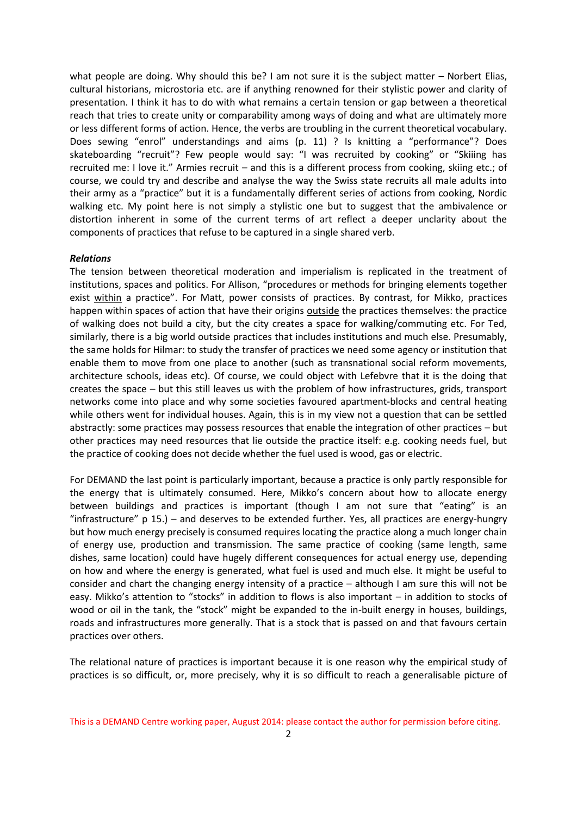what people are doing. Why should this be? I am not sure it is the subject matter – Norbert Elias, cultural historians, microstoria etc. are if anything renowned for their stylistic power and clarity of presentation. I think it has to do with what remains a certain tension or gap between a theoretical reach that tries to create unity or comparability among ways of doing and what are ultimately more or less different forms of action. Hence, the verbs are troubling in the current theoretical vocabulary. Does sewing "enrol" understandings and aims (p. 11) ? Is knitting a "performance"? Does skateboarding "recruit"? Few people would say: "I was recruited by cooking" or "Skiiing has recruited me: I love it." Armies recruit – and this is a different process from cooking, skiing etc.; of course, we could try and describe and analyse the way the Swiss state recruits all male adults into their army as a "practice" but it is a fundamentally different series of actions from cooking, Nordic walking etc. My point here is not simply a stylistic one but to suggest that the ambivalence or distortion inherent in some of the current terms of art reflect a deeper unclarity about the components of practices that refuse to be captured in a single shared verb.

## *Relations*

The tension between theoretical moderation and imperialism is replicated in the treatment of institutions, spaces and politics. For Allison, "procedures or methods for bringing elements together exist within a practice". For Matt, power consists of practices. By contrast, for Mikko, practices happen within spaces of action that have their origins outside the practices themselves: the practice of walking does not build a city, but the city creates a space for walking/commuting etc. For Ted, similarly, there is a big world outside practices that includes institutions and much else. Presumably, the same holds for Hilmar: to study the transfer of practices we need some agency or institution that enable them to move from one place to another (such as transnational social reform movements, architecture schools, ideas etc). Of course, we could object with Lefebvre that it is the doing that creates the space – but this still leaves us with the problem of how infrastructures, grids, transport networks come into place and why some societies favoured apartment-blocks and central heating while others went for individual houses. Again, this is in my view not a question that can be settled abstractly: some practices may possess resources that enable the integration of other practices – but other practices may need resources that lie outside the practice itself: e.g. cooking needs fuel, but the practice of cooking does not decide whether the fuel used is wood, gas or electric.

For DEMAND the last point is particularly important, because a practice is only partly responsible for the energy that is ultimately consumed. Here, Mikko's concern about how to allocate energy between buildings and practices is important (though I am not sure that "eating" is an "infrastructure" p 15.) – and deserves to be extended further. Yes, all practices are energy-hungry but how much energy precisely is consumed requires locating the practice along a much longer chain of energy use, production and transmission. The same practice of cooking (same length, same dishes, same location) could have hugely different consequences for actual energy use, depending on how and where the energy is generated, what fuel is used and much else. It might be useful to consider and chart the changing energy intensity of a practice – although I am sure this will not be easy. Mikko's attention to "stocks" in addition to flows is also important – in addition to stocks of wood or oil in the tank, the "stock" might be expanded to the in-built energy in houses, buildings, roads and infrastructures more generally. That is a stock that is passed on and that favours certain practices over others.

The relational nature of practices is important because it is one reason why the empirical study of practices is so difficult, or, more precisely, why it is so difficult to reach a generalisable picture of

This is a DEMAND Centre working paper, August 2014: please contact the author for permission before citing.